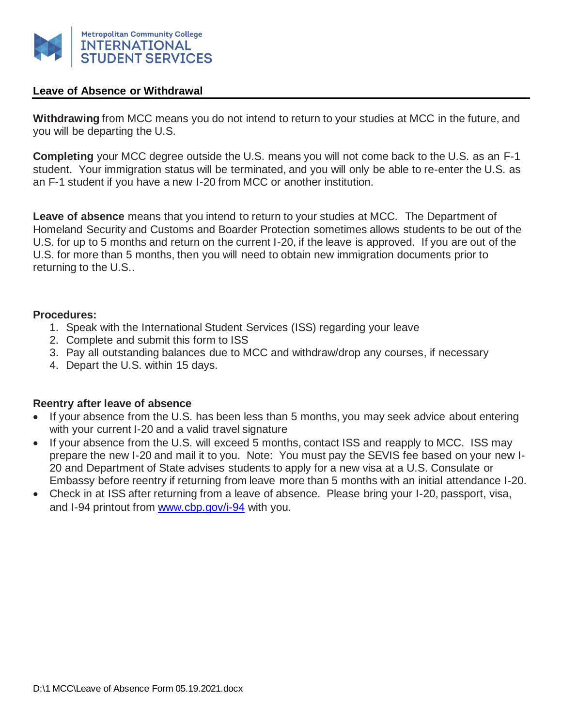

### **Leave of Absence or Withdrawal**

**Withdrawing** from MCC means you do not intend to return to your studies at MCC in the future, and you will be departing the U.S.

**Completing** your MCC degree outside the U.S. means you will not come back to the U.S. as an F-1 student. Your immigration status will be terminated, and you will only be able to re-enter the U.S. as an F-1 student if you have a new I-20 from MCC or another institution.

**Leave of absence** means that you intend to return to your studies at MCC. The Department of Homeland Security and Customs and Boarder Protection sometimes allows students to be out of the U.S. for up to 5 months and return on the current I-20, if the leave is approved. If you are out of the U.S. for more than 5 months, then you will need to obtain new immigration documents prior to returning to the U.S..

#### **Procedures:**

- 1. Speak with the International Student Services (ISS) regarding your leave
- 2. Complete and submit this form to ISS
- 3. Pay all outstanding balances due to MCC and withdraw/drop any courses, if necessary
- 4. Depart the U.S. within 15 days.

### **Reentry after leave of absence**

- If your absence from the U.S. has been less than 5 months, you may seek advice about entering with your current I-20 and a valid travel signature
- If your absence from the U.S. will exceed 5 months, contact ISS and reapply to MCC. ISS may prepare the new I-20 and mail it to you. Note: You must pay the SEVIS fee based on your new I-20 and Department of State advises students to apply for a new visa at a U.S. Consulate or Embassy before reentry if returning from leave more than 5 months with an initial attendance I-20.
- Check in at ISS after returning from a leave of absence. Please bring your I-20, passport, visa, and I-94 printout from [www.cbp.gov/i-94](http://www.cbp.gov/i-94) with you.